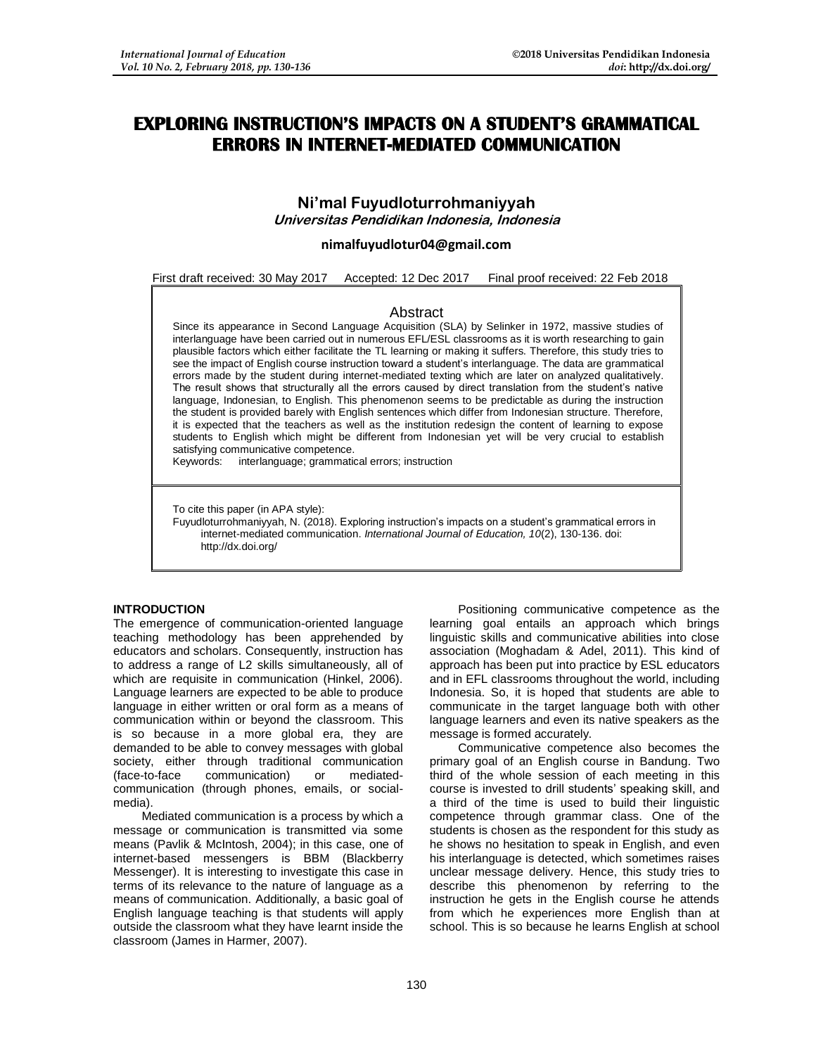# **EXPLORING INSTRUCTION'S IMPACTS ON A STUDENT'S GRAMMATICAL ERRORS IN INTERNET-MEDIATED COMMUNICATION**

# **Ni'mal Fuyudloturrohmaniyyah Universitas Pendidikan Indonesia, Indonesia**

#### **[nimalfuyudlotur04@gmail.com](mailto:nimalfuyudlotur04@gmail.com)**

First draft received: 30 May 2017 Accepted: 12 Dec 2017 Final proof received: 22 Feb 2018

## Abstract

Since its appearance in Second Language Acquisition (SLA) by Selinker in 1972, massive studies of interlanguage have been carried out in numerous EFL/ESL classrooms as it is worth researching to gain plausible factors which either facilitate the TL learning or making it suffers. Therefore, this study tries to see the impact of English course instruction toward a student's interlanguage. The data are grammatical errors made by the student during internet-mediated texting which are later on analyzed qualitatively. The result shows that structurally all the errors caused by direct translation from the student's native language, Indonesian, to English. This phenomenon seems to be predictable as during the instruction the student is provided barely with English sentences which differ from Indonesian structure. Therefore, it is expected that the teachers as well as the institution redesign the content of learning to expose students to English which might be different from Indonesian yet will be very crucial to establish satisfying communicative competence.

Keywords: interlanguage; grammatical errors; instruction

To cite this paper (in APA style):

Fuyudloturrohmaniyyah, N. (2018). Exploring instruction's impacts on a student's grammatical errors in internet-mediated communication. *International Journal of Education, 10*(2), 130-136. doi: http://dx.doi.org/

# **INTRODUCTION**

The emergence of communication-oriented language teaching methodology has been apprehended by educators and scholars. Consequently, instruction has to address a range of L2 skills simultaneously, all of which are requisite in communication (Hinkel, 2006). Language learners are expected to be able to produce language in either written or oral form as a means of communication within or beyond the classroom. This is so because in a more global era, they are demanded to be able to convey messages with global society, either through traditional communication (face-to-face communication) or mediatedcommunication (through phones, emails, or socialmedia).

Mediated communication is a process by which a message or communication is transmitted via some means (Pavlik & McIntosh, 2004); in this case, one of internet-based messengers is BBM (Blackberry Messenger). It is interesting to investigate this case in terms of its relevance to the nature of language as a means of communication. Additionally, a basic goal of English language teaching is that students will apply outside the classroom what they have learnt inside the classroom (James in Harmer, 2007).

Positioning communicative competence as the learning goal entails an approach which brings linguistic skills and communicative abilities into close association (Moghadam & Adel, 2011). This kind of approach has been put into practice by ESL educators and in EFL classrooms throughout the world, including Indonesia. So, it is hoped that students are able to communicate in the target language both with other language learners and even its native speakers as the message is formed accurately.

Communicative competence also becomes the primary goal of an English course in Bandung. Two third of the whole session of each meeting in this course is invested to drill students' speaking skill, and a third of the time is used to build their linguistic competence through grammar class. One of the students is chosen as the respondent for this study as he shows no hesitation to speak in English, and even his interlanguage is detected, which sometimes raises unclear message delivery. Hence, this study tries to describe this phenomenon by referring to the instruction he gets in the English course he attends from which he experiences more English than at school. This is so because he learns English at school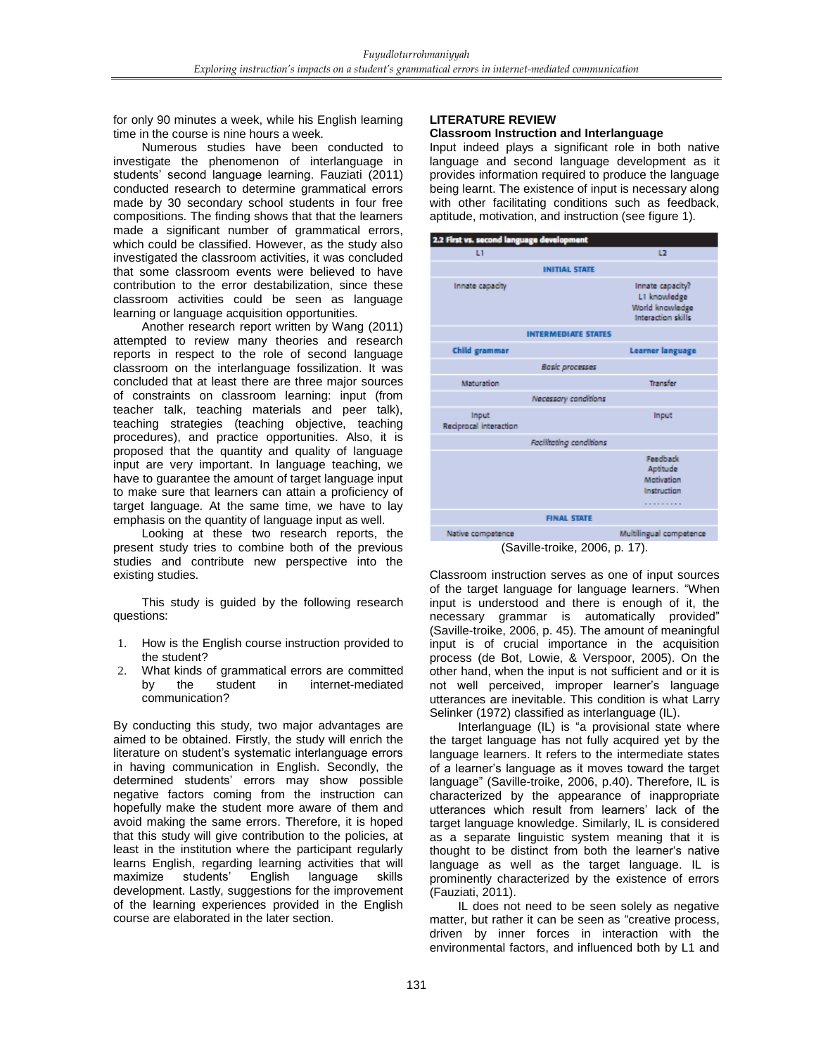for only 90 minutes a week, while his English learning time in the course is nine hours a week.

Numerous studies have been conducted to investigate the phenomenon of interlanguage in students' second language learning. Fauziati (2011) conducted research to determine grammatical errors made by 30 secondary school students in four free compositions. The finding shows that that the learners made a significant number of grammatical errors, which could be classified. However, as the study also investigated the classroom activities, it was concluded that some classroom events were believed to have contribution to the error destabilization, since these classroom activities could be seen as language learning or language acquisition opportunities.

Another research report written by Wang (2011) attempted to review many theories and research reports in respect to the role of second language classroom on the interlanguage fossilization. It was concluded that at least there are three major sources of constraints on classroom learning: input (from teacher talk, teaching materials and peer talk), teaching strategies (teaching objective, teaching procedures), and practice opportunities. Also, it is proposed that the quantity and quality of language input are very important. In language teaching, we have to guarantee the amount of target language input to make sure that learners can attain a proficiency of target language. At the same time, we have to lay emphasis on the quantity of language input as well.

Looking at these two research reports, the present study tries to combine both of the previous studies and contribute new perspective into the existing studies.

This study is guided by the following research questions:

- 1. How is the English course instruction provided to the student?
- 2. What kinds of grammatical errors are committed by the student in internet-mediated communication?

By conducting this study, two major advantages are aimed to be obtained. Firstly, the study will enrich the literature on student's systematic interlanguage errors in having communication in English. Secondly, the determined students' errors may show possible negative factors coming from the instruction can hopefully make the student more aware of them and avoid making the same errors. Therefore, it is hoped that this study will give contribution to the policies, at least in the institution where the participant regularly learns English, regarding learning activities that will maximize students' English language skills development. Lastly, suggestions for the improvement of the learning experiences provided in the English course are elaborated in the later section.

# **LITERATURE REVIEW**

#### **Classroom Instruction and Interlanguage**

Input indeed plays a significant role in both native language and second language development as it provides information required to produce the language being learnt. The existence of input is necessary along with other facilitating conditions such as feedback, aptitude, motivation, and instruction (see figure 1).



(Saville-troike, 2006, p. 17).

Classroom instruction serves as one of input sources of the target language for language learners. "When input is understood and there is enough of it, the necessary grammar is automatically provided" (Saville-troike, 2006, p. 45). The amount of meaningful input is of crucial importance in the acquisition process (de Bot, Lowie, & Verspoor, 2005). On the other hand, when the input is not sufficient and or it is not well perceived, improper learner's language utterances are inevitable. This condition is what Larry Selinker (1972) classified as interlanguage (IL).

Interlanguage (IL) is "a provisional state where the target language has not fully acquired yet by the language learners. It refers to the intermediate states of a learner's language as it moves toward the target language" (Saville-troike, 2006, p.40). Therefore, IL is characterized by the appearance of inappropriate utterances which result from learners' lack of the target language knowledge. Similarly, IL is considered as a separate linguistic system meaning that it is thought to be distinct from both the learner's native language as well as the target language. IL is prominently characterized by the existence of errors (Fauziati, 2011).

IL does not need to be seen solely as negative matter, but rather it can be seen as "creative process, driven by inner forces in interaction with the environmental factors, and influenced both by L1 and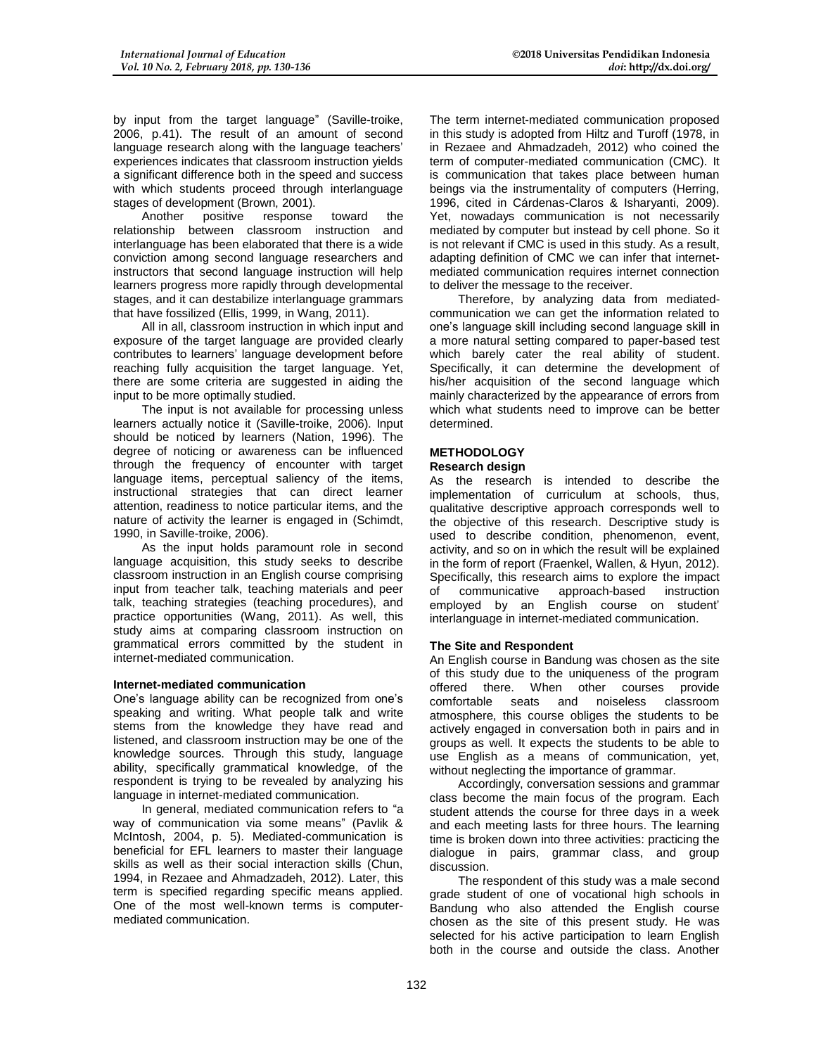by input from the target language" (Saville-troike, 2006, p.41). The result of an amount of second language research along with the language teachers' experiences indicates that classroom instruction yields a significant difference both in the speed and success with which students proceed through interlanguage stages of development (Brown, 2001).

Another positive response toward the relationship between classroom instruction and interlanguage has been elaborated that there is a wide conviction among second language researchers and instructors that second language instruction will help learners progress more rapidly through developmental stages, and it can destabilize interlanguage grammars that have fossilized (Ellis, 1999, in Wang, 2011).

All in all, classroom instruction in which input and exposure of the target language are provided clearly contributes to learners' language development before reaching fully acquisition the target language. Yet, there are some criteria are suggested in aiding the input to be more optimally studied.

The input is not available for processing unless learners actually notice it (Saville-troike, 2006). Input should be noticed by learners (Nation, 1996). The degree of noticing or awareness can be influenced through the frequency of encounter with target language items, perceptual saliency of the items, instructional strategies that can direct learner attention, readiness to notice particular items, and the nature of activity the learner is engaged in (Schimdt, 1990, in Saville-troike, 2006).

As the input holds paramount role in second language acquisition, this study seeks to describe classroom instruction in an English course comprising input from teacher talk, teaching materials and peer talk, teaching strategies (teaching procedures), and practice opportunities (Wang, 2011). As well, this study aims at comparing classroom instruction on grammatical errors committed by the student in internet-mediated communication.

#### **Internet-mediated communication**

One's language ability can be recognized from one's speaking and writing. What people talk and write stems from the knowledge they have read and listened, and classroom instruction may be one of the knowledge sources. Through this study, language ability, specifically grammatical knowledge, of the respondent is trying to be revealed by analyzing his language in internet-mediated communication.

In general, mediated communication refers to "a way of communication via some means" (Pavlik & McIntosh, 2004, p. 5). Mediated-communication is beneficial for EFL learners to master their language skills as well as their social interaction skills (Chun, 1994, in Rezaee and Ahmadzadeh, 2012). Later, this term is specified regarding specific means applied. One of the most well-known terms is computermediated communication.

The term internet-mediated communication proposed in this study is adopted from Hiltz and Turoff (1978, in in Rezaee and Ahmadzadeh, 2012) who coined the term of computer-mediated communication (CMC). It is communication that takes place between human beings via the instrumentality of computers (Herring, 1996, cited in Cárdenas-Claros & Isharyanti, 2009). Yet, nowadays communication is not necessarily mediated by computer but instead by cell phone. So it is not relevant if CMC is used in this study. As a result, adapting definition of CMC we can infer that internetmediated communication requires internet connection to deliver the message to the receiver.

Therefore, by analyzing data from mediatedcommunication we can get the information related to one's language skill including second language skill in a more natural setting compared to paper-based test which barely cater the real ability of student. Specifically, it can determine the development of his/her acquisition of the second language which mainly characterized by the appearance of errors from which what students need to improve can be better determined.

# **METHODOLOGY**

#### **Research design**

As the research is intended to describe the implementation of curriculum at schools, thus, qualitative descriptive approach corresponds well to the objective of this research. Descriptive study is used to describe condition, phenomenon, event, activity, and so on in which the result will be explained in the form of report (Fraenkel, Wallen, & Hyun, 2012). Specifically, this research aims to explore the impact of communicative approach-based instruction employed by an English course on student' interlanguage in internet-mediated communication.

#### **The Site and Respondent**

An English course in Bandung was chosen as the site of this study due to the uniqueness of the program offered there. When other courses provide comfortable seats and noiseless classroom atmosphere, this course obliges the students to be actively engaged in conversation both in pairs and in groups as well. It expects the students to be able to use English as a means of communication, yet, without neglecting the importance of grammar.

Accordingly, conversation sessions and grammar class become the main focus of the program. Each student attends the course for three days in a week and each meeting lasts for three hours. The learning time is broken down into three activities: practicing the dialogue in pairs, grammar class, and group discussion.

The respondent of this study was a male second grade student of one of vocational high schools in Bandung who also attended the English course chosen as the site of this present study. He was selected for his active participation to learn English both in the course and outside the class. Another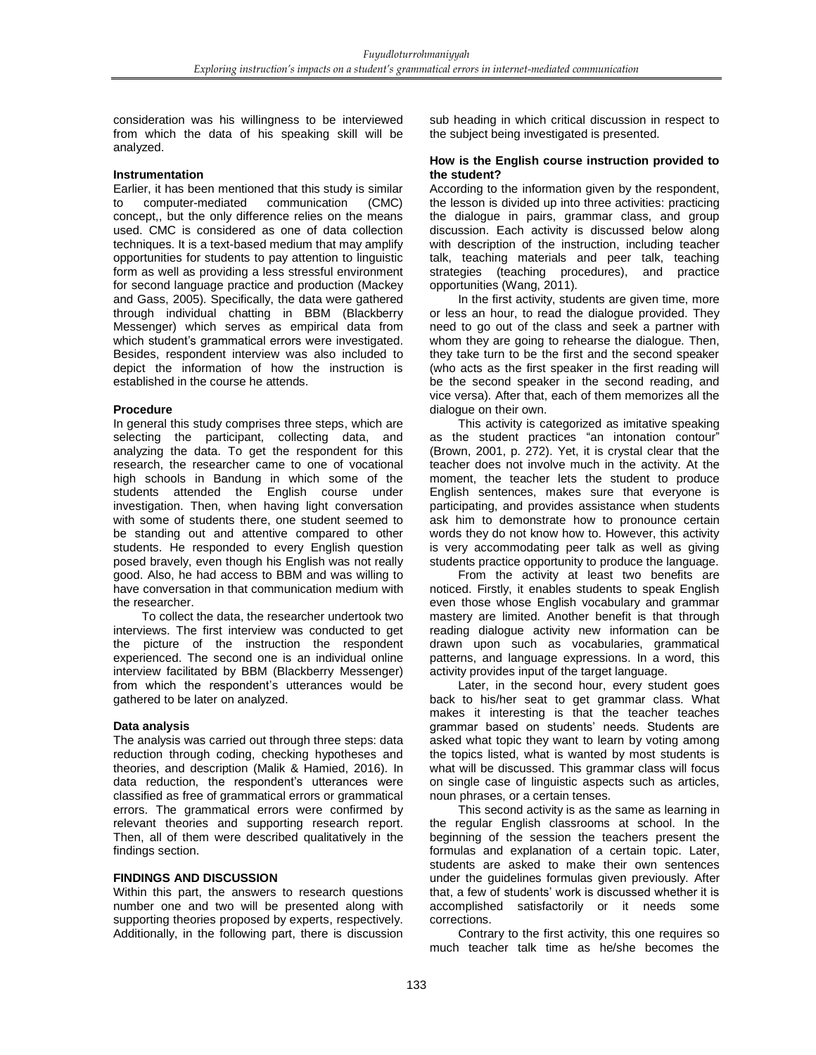consideration was his willingness to be interviewed from which the data of his speaking skill will be analyzed.

#### **Instrumentation**

Earlier, it has been mentioned that this study is similar to computer-mediated communication (CMC) concept,, but the only difference relies on the means used. CMC is considered as one of data collection techniques. It is a text-based medium that may amplify opportunities for students to pay attention to linguistic form as well as providing a less stressful environment for second language practice and production (Mackey and Gass, 2005). Specifically, the data were gathered through individual chatting in BBM (Blackberry Messenger) which serves as empirical data from which student's grammatical errors were investigated. Besides, respondent interview was also included to depict the information of how the instruction is established in the course he attends.

#### **Procedure**

In general this study comprises three steps, which are selecting the participant, collecting data, and analyzing the data. To get the respondent for this research, the researcher came to one of vocational high schools in Bandung in which some of the students attended the English course under investigation. Then, when having light conversation with some of students there, one student seemed to be standing out and attentive compared to other students. He responded to every English question posed bravely, even though his English was not really good. Also, he had access to BBM and was willing to have conversation in that communication medium with the researcher.

To collect the data, the researcher undertook two interviews. The first interview was conducted to get the picture of the instruction the respondent experienced. The second one is an individual online interview facilitated by BBM (Blackberry Messenger) from which the respondent's utterances would be gathered to be later on analyzed.

#### **Data analysis**

The analysis was carried out through three steps: data reduction through coding, checking hypotheses and theories, and description (Malik & Hamied, 2016). In data reduction, the respondent's utterances were classified as free of grammatical errors or grammatical errors. The grammatical errors were confirmed by relevant theories and supporting research report. Then, all of them were described qualitatively in the findings section.

#### **FINDINGS AND DISCUSSION**

Within this part, the answers to research questions number one and two will be presented along with supporting theories proposed by experts, respectively. Additionally, in the following part, there is discussion sub heading in which critical discussion in respect to the subject being investigated is presented.

#### **How is the English course instruction provided to the student?**

According to the information given by the respondent, the lesson is divided up into three activities: practicing the dialogue in pairs, grammar class, and group discussion. Each activity is discussed below along with description of the instruction, including teacher talk, teaching materials and peer talk, teaching strategies (teaching procedures), and practice opportunities (Wang, 2011).

In the first activity, students are given time, more or less an hour, to read the dialogue provided. They need to go out of the class and seek a partner with whom they are going to rehearse the dialogue. Then, they take turn to be the first and the second speaker (who acts as the first speaker in the first reading will be the second speaker in the second reading, and vice versa). After that, each of them memorizes all the dialogue on their own.

This activity is categorized as imitative speaking as the student practices "an intonation contour" (Brown, 2001, p. 272). Yet, it is crystal clear that the teacher does not involve much in the activity. At the moment, the teacher lets the student to produce English sentences, makes sure that everyone is participating, and provides assistance when students ask him to demonstrate how to pronounce certain words they do not know how to. However, this activity is very accommodating peer talk as well as giving students practice opportunity to produce the language.

From the activity at least two benefits are noticed. Firstly, it enables students to speak English even those whose English vocabulary and grammar mastery are limited. Another benefit is that through reading dialogue activity new information can be drawn upon such as vocabularies, grammatical patterns, and language expressions. In a word, this activity provides input of the target language.

Later, in the second hour, every student goes back to his/her seat to get grammar class. What makes it interesting is that the teacher teaches grammar based on students' needs. Students are asked what topic they want to learn by voting among the topics listed, what is wanted by most students is what will be discussed. This grammar class will focus on single case of linguistic aspects such as articles, noun phrases, or a certain tenses.

This second activity is as the same as learning in the regular English classrooms at school. In the beginning of the session the teachers present the formulas and explanation of a certain topic. Later, students are asked to make their own sentences under the guidelines formulas given previously. After that, a few of students' work is discussed whether it is accomplished satisfactorily or it needs some corrections.

Contrary to the first activity, this one requires so much teacher talk time as he/she becomes the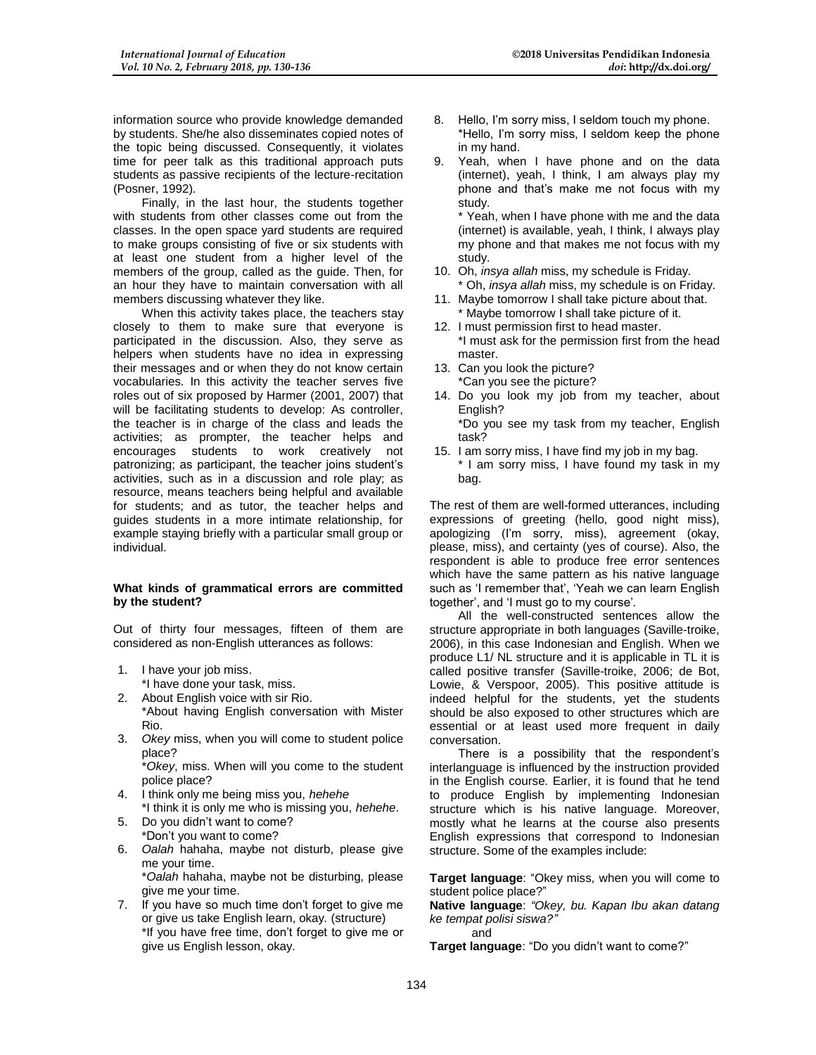information source who provide knowledge demanded by students. She/he also disseminates copied notes of the topic being discussed. Consequently, it violates time for peer talk as this traditional approach puts students as passive recipients of the lecture-recitation (Posner, 1992).

Finally, in the last hour, the students together with students from other classes come out from the classes. In the open space yard students are required to make groups consisting of five or six students with at least one student from a higher level of the members of the group, called as the guide. Then, for an hour they have to maintain conversation with all members discussing whatever they like.

When this activity takes place, the teachers stay closely to them to make sure that everyone is participated in the discussion. Also, they serve as helpers when students have no idea in expressing their messages and or when they do not know certain vocabularies. In this activity the teacher serves five roles out of six proposed by Harmer (2001, 2007) that will be facilitating students to develop: As controller, the teacher is in charge of the class and leads the activities; as prompter, the teacher helps and encourages students to work creatively not patronizing; as participant, the teacher joins student's activities, such as in a discussion and role play; as resource, means teachers being helpful and available for students; and as tutor, the teacher helps and guides students in a more intimate relationship, for example staying briefly with a particular small group or individual.

#### **What kinds of grammatical errors are committed by the student?**

Out of thirty four messages, fifteen of them are considered as non-English utterances as follows:

- 1. I have your job miss.
- \*I have done your task, miss.
- 2. About English voice with sir Rio. \*About having English conversation with Mister Rio.
- 3. *Okey* miss, when you will come to student police place?

\**Okey*, miss. When will you come to the student police place?

- 4. I think only me being miss you, *hehehe* \*I think it is only me who is missing you, *hehehe*.
- 5. Do you didn't want to come? \*Don't you want to come?
- 6. *Oalah* hahaha, maybe not disturb, please give me your time.
- \**Oalah* hahaha, maybe not be disturbing, please give me your time.
- 7. If you have so much time don't forget to give me or give us take English learn, okay. (structure) \*If you have free time, don't forget to give me or give us English lesson, okay.
- 8. Hello, I'm sorry miss, I seldom touch my phone. \*Hello, I'm sorry miss, I seldom keep the phone in my hand.
- 9. Yeah, when I have phone and on the data (internet), yeah, I think, I am always play my phone and that's make me not focus with my study.

\* Yeah, when I have phone with me and the data (internet) is available, yeah, I think, I always play my phone and that makes me not focus with my study.

- 10. Oh, *insya allah* miss, my schedule is Friday. \* Oh, *insya allah* miss, my schedule is on Friday.
- 11. Maybe tomorrow I shall take picture about that. \* Maybe tomorrow I shall take picture of it.
- 12. I must permission first to head master. \*I must ask for the permission first from the head master.
- 13. Can you look the picture? \*Can you see the picture?
- 14. Do you look my job from my teacher, about English?

\*Do you see my task from my teacher, English task?

15. I am sorry miss, I have find my job in my bag. \* I am sorry miss, I have found my task in my bag.

The rest of them are well-formed utterances, including expressions of greeting (hello, good night miss), apologizing (I'm sorry, miss), agreement (okay, please, miss), and certainty (yes of course). Also, the respondent is able to produce free error sentences which have the same pattern as his native language such as 'I remember that', 'Yeah we can learn English together', and 'I must go to my course'.

All the well-constructed sentences allow the structure appropriate in both languages (Saville-troike, 2006), in this case Indonesian and English. When we produce L1/ NL structure and it is applicable in TL it is called positive transfer (Saville-troike, 2006; de Bot, Lowie, & Verspoor, 2005). This positive attitude is indeed helpful for the students, yet the students should be also exposed to other structures which are essential or at least used more frequent in daily conversation.

There is a possibility that the respondent's interlanguage is influenced by the instruction provided in the English course. Earlier, it is found that he tend to produce English by implementing Indonesian structure which is his native language. Moreover, mostly what he learns at the course also presents English expressions that correspond to Indonesian structure. Some of the examples include:

**Target language**: "Okey miss, when you will come to student police place?"

**Native language**: *"Okey, bu. Kapan Ibu akan datang ke tempat polisi siswa?"*

and

**Target language**: "Do you didn't want to come?"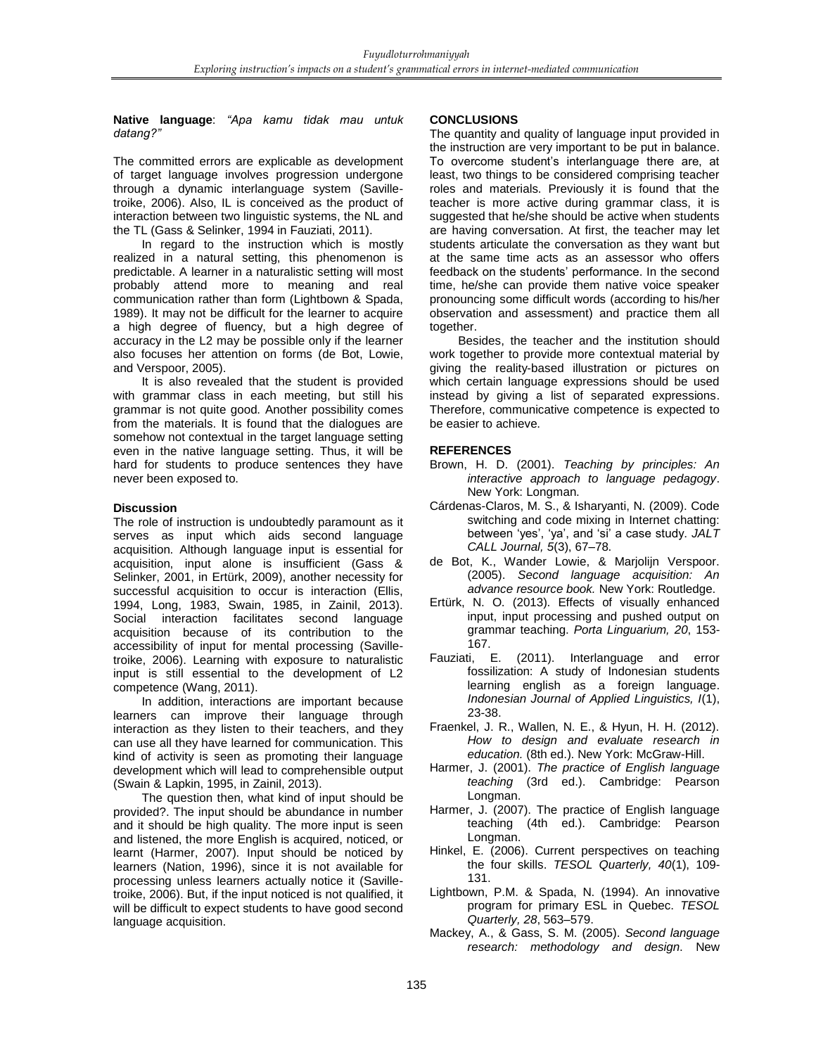#### **Native language**: *"Apa kamu tidak mau untuk datang?"*

The committed errors are explicable as development of target language involves progression undergone through a dynamic interlanguage system (Savilletroike, 2006). Also, IL is conceived as the product of interaction between two linguistic systems, the NL and the TL (Gass & Selinker, 1994 in Fauziati, 2011).

In regard to the instruction which is mostly realized in a natural setting, this phenomenon is predictable. A learner in a naturalistic setting will most probably attend more to meaning and real communication rather than form (Lightbown & Spada, 1989). It may not be difficult for the learner to acquire a high degree of fluency, but a high degree of accuracy in the L2 may be possible only if the learner also focuses her attention on forms (de Bot, Lowie, and Verspoor, 2005).

It is also revealed that the student is provided with grammar class in each meeting, but still his grammar is not quite good. Another possibility comes from the materials. It is found that the dialogues are somehow not contextual in the target language setting even in the native language setting. Thus, it will be hard for students to produce sentences they have never been exposed to.

#### **Discussion**

The role of instruction is undoubtedly paramount as it serves as input which aids second language acquisition. Although language input is essential for acquisition, input alone is insufficient (Gass & Selinker, 2001, in Ertürk, 2009), another necessity for successful acquisition to occur is interaction (Ellis, 1994, Long, 1983, Swain, 1985, in Zainil, 2013). Social interaction facilitates second language acquisition because of its contribution to the accessibility of input for mental processing (Savilletroike, 2006). Learning with exposure to naturalistic input is still essential to the development of L2 competence (Wang, 2011).

In addition, interactions are important because learners can improve their language through interaction as they listen to their teachers, and they can use all they have learned for communication. This kind of activity is seen as promoting their language development which will lead to comprehensible output (Swain & Lapkin, 1995, in Zainil, 2013).

The question then, what kind of input should be provided?. The input should be abundance in number and it should be high quality. The more input is seen and listened, the more English is acquired, noticed, or learnt (Harmer, 2007). Input should be noticed by learners (Nation, 1996), since it is not available for processing unless learners actually notice it (Savilletroike, 2006). But, if the input noticed is not qualified, it will be difficult to expect students to have good second language acquisition.

# **CONCLUSIONS**

The quantity and quality of language input provided in the instruction are very important to be put in balance. To overcome student's interlanguage there are, at least, two things to be considered comprising teacher roles and materials. Previously it is found that the teacher is more active during grammar class, it is suggested that he/she should be active when students are having conversation. At first, the teacher may let students articulate the conversation as they want but at the same time acts as an assessor who offers feedback on the students' performance. In the second time, he/she can provide them native voice speaker pronouncing some difficult words (according to his/her observation and assessment) and practice them all together.

Besides, the teacher and the institution should work together to provide more contextual material by giving the reality-based illustration or pictures on which certain language expressions should be used instead by giving a list of separated expressions. Therefore, communicative competence is expected to be easier to achieve.

# **REFERENCES**

- Brown, H. D. (2001). *Teaching by principles: An interactive approach to language pedagogy*. New York: Longman.
- Cárdenas-Claros, M. S., & Isharyanti, N. (2009). Code switching and code mixing in Internet chatting: between 'yes', 'ya', and 'si' a case study. *JALT CALL Journal, 5*(3), 67–78.
- de Bot, K., Wander Lowie, & Marjolijn Verspoor. (2005). *Second language acquisition: An advance resource book.* New York: Routledge.
- Ertürk, N. O. (2013). Effects of visually enhanced input, input processing and pushed output on grammar teaching. *Porta Linguarium, 20*, 153-
- .167<br>.Fauziati, E (2011). Interlanguage and error fossilization: A study of Indonesian students learning english as a foreign language. *Indonesian Journal of Applied Linguistics, I*(1), 23-38.
- Fraenkel, J. R., Wallen, N. E., & Hyun, H. H. (2012). *How to design and evaluate research in*  education. (8th ed.). New York: McGraw-Hill.
- Harmer, J. (2001). *The practice of English language teaching* (3rd ed.). Cambridge: Pearson Longman.
- Harmer, J. (2007). The practice of English language teaching (4th ed.). Cambridge: Pearson Longman.
- Hinkel, E. (2006). Current perspectives on teaching the four skills. *TESOL Quarterly, 40*(1), 109- 131.
- Lightbown, P.M. & Spada, N. (1994). An innovative program for primary ESL in Quebec. *TESOL Quarterly, 28*, 563–579.
- Mackey, A., & Gass, S. M. (2005). *Second language research: methodology and design*. New